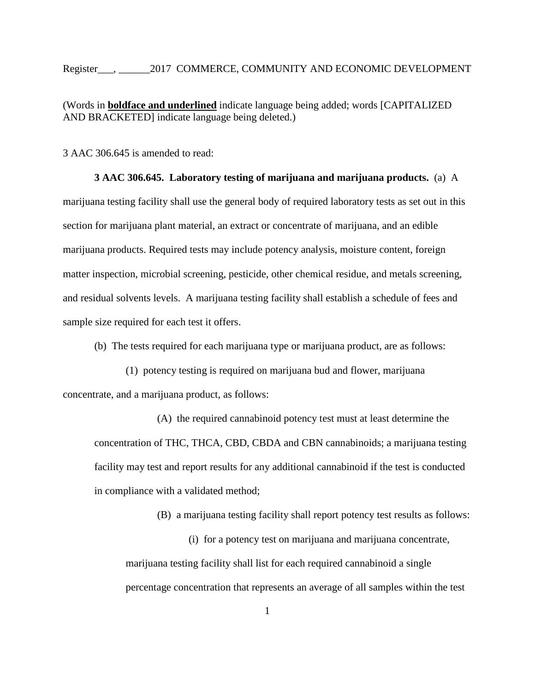Register\_\_\_, \_\_\_\_\_\_2017 COMMERCE, COMMUNITY AND ECONOMIC DEVELOPMENT

(Words in **boldface and underlined** indicate language being added; words [CAPITALIZED AND BRACKETED] indicate language being deleted.)

3 AAC 306.645 is amended to read:

**3 AAC 306.645. Laboratory testing of marijuana and marijuana products.** (a) A marijuana testing facility shall use the general body of required laboratory tests as set out in this section for marijuana plant material, an extract or concentrate of marijuana, and an edible marijuana products. Required tests may include potency analysis, moisture content, foreign matter inspection, microbial screening, pesticide, other chemical residue, and metals screening, and residual solvents levels. A marijuana testing facility shall establish a schedule of fees and sample size required for each test it offers.

(b) The tests required for each marijuana type or marijuana product, are as follows:

(1) potency testing is required on marijuana bud and flower, marijuana concentrate, and a marijuana product, as follows:

(A) the required cannabinoid potency test must at least determine the concentration of THC, THCA, CBD, CBDA and CBN cannabinoids; a marijuana testing facility may test and report results for any additional cannabinoid if the test is conducted in compliance with a validated method;

(B) a marijuana testing facility shall report potency test results as follows:

(i) for a potency test on marijuana and marijuana concentrate, marijuana testing facility shall list for each required cannabinoid a single percentage concentration that represents an average of all samples within the test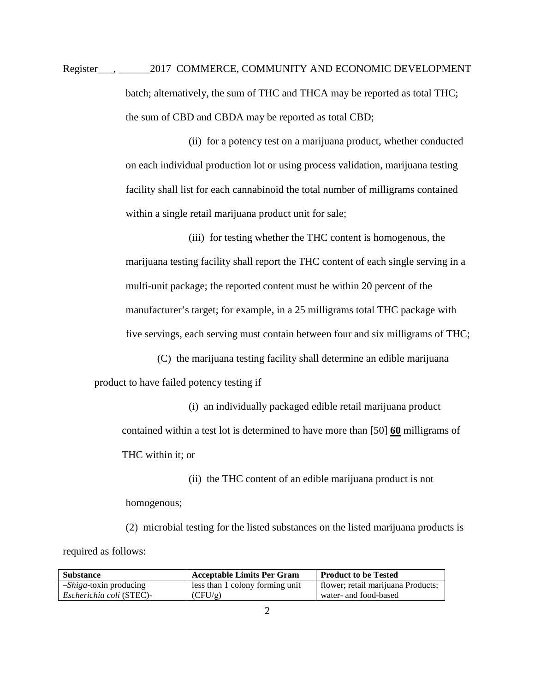Register\_\_\_, \_\_\_\_\_\_2017 COMMERCE, COMMUNITY AND ECONOMIC DEVELOPMENT batch; alternatively, the sum of THC and THCA may be reported as total THC; the sum of CBD and CBDA may be reported as total CBD;

> (ii) for a potency test on a marijuana product, whether conducted on each individual production lot or using process validation, marijuana testing facility shall list for each cannabinoid the total number of milligrams contained within a single retail marijuana product unit for sale;

(iii) for testing whether the THC content is homogenous, the marijuana testing facility shall report the THC content of each single serving in a multi-unit package; the reported content must be within 20 percent of the manufacturer's target; for example, in a 25 milligrams total THC package with five servings, each serving must contain between four and six milligrams of THC;

(C) the marijuana testing facility shall determine an edible marijuana product to have failed potency testing if

(i) an individually packaged edible retail marijuana product contained within a test lot is determined to have more than [50] **60** milligrams of THC within it; or

(ii) the THC content of an edible marijuana product is not homogenous;

(2) microbial testing for the listed substances on the listed marijuana products is required as follows:

| <b>Substance</b>                | <b>Acceptable Limits Per Gram</b> | <b>Product to be Tested</b>        |
|---------------------------------|-----------------------------------|------------------------------------|
| - <i>Shiga</i> -toxin producing | less than 1 colony forming unit   | flower; retail marijuana Products; |
| Escherichia coli (STEC)-        | (CFU/g)                           | water- and food-based              |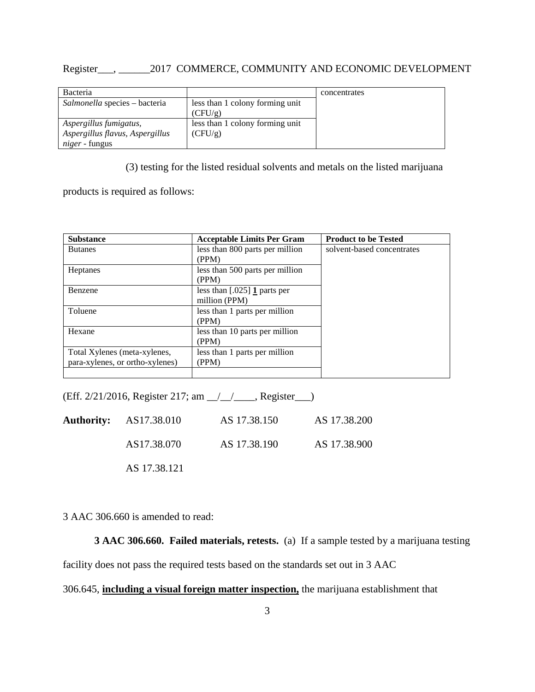## Register\_\_\_, \_\_\_\_\_\_2017 COMMERCE, COMMUNITY AND ECONOMIC DEVELOPMENT

| <b>Bacteria</b>                 |                                 | concentrates |
|---------------------------------|---------------------------------|--------------|
| Salmonella species – bacteria   | less than 1 colony forming unit |              |
|                                 | (CFU/g)                         |              |
| Aspergillus fumigatus,          | less than 1 colony forming unit |              |
| Aspergillus flavus, Aspergillus | (CFU/g)                         |              |
| <i>niger</i> - fungus           |                                 |              |

(3) testing for the listed residual solvents and metals on the listed marijuana

products is required as follows:

| <b>Substance</b>                | <b>Acceptable Limits Per Gram</b>     | <b>Product to be Tested</b> |
|---------------------------------|---------------------------------------|-----------------------------|
| <b>Butanes</b>                  | less than 800 parts per million       | solvent-based concentrates  |
|                                 | (PPM)                                 |                             |
| <b>Heptanes</b>                 | less than 500 parts per million       |                             |
|                                 | (PPM)                                 |                             |
| Benzene                         | less than $[.025]$ <b>1</b> parts per |                             |
|                                 | million (PPM)                         |                             |
| Toluene                         | less than 1 parts per million         |                             |
|                                 | (PPM)                                 |                             |
| Hexane                          | less than 10 parts per million        |                             |
|                                 | (PPM)                                 |                             |
| Total Xylenes (meta-xylenes,    | less than 1 parts per million         |                             |
| para-xylenes, or ortho-xylenes) | (PPM)                                 |                             |
|                                 |                                       |                             |

(Eff. 2/21/2016, Register 217; am \_\_/\_\_/\_\_\_\_, Register\_\_\_)

| <b>Authority:</b> AS17.38.010 | AS 17.38.150 | AS 17.38.200 |
|-------------------------------|--------------|--------------|
| AS17.38.070                   | AS 17.38.190 | AS 17.38.900 |
| AS 17.38.121                  |              |              |

3 AAC 306.660 is amended to read:

**3 AAC 306.660. Failed materials, retests.** (a) If a sample tested by a marijuana testing

facility does not pass the required tests based on the standards set out in 3 AAC

## 306.645, **including a visual foreign matter inspection,** the marijuana establishment that